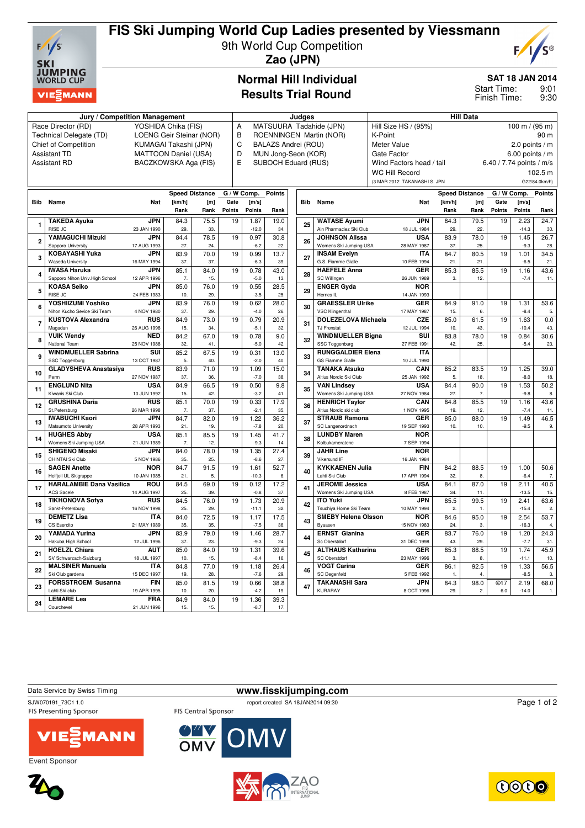

# **FIS Ski Jumping World Cup Ladies presented by Viessmann**

9th World Cup Competition



**Zao (JPN)**

### **Normal Hill Individual Results Trial Round**

### **SAT 18 JAN 2014**

9:01 9:30 Start Time: Finish Time:

|                                                                            |                                 |                      |                             |                         |                                                | Judges                   |                         | <b>Hill Data</b>                         |                            |                              |        |                       |             |                          |                |
|----------------------------------------------------------------------------|---------------------------------|----------------------|-----------------------------|-------------------------|------------------------------------------------|--------------------------|-------------------------|------------------------------------------|----------------------------|------------------------------|--------|-----------------------|-------------|--------------------------|----------------|
| Jury / Competition Management<br>YOSHIDA Chika (FIS)<br>Race Director (RD) |                                 |                      | Α                           |                         |                                                |                          | MATSUURA Tadahide (JPN) | Hill Size HS / (95%)<br>100 m / $(95 m)$ |                            |                              |        |                       |             |                          |                |
| Technical Delegate (TD)<br>LOENG Geir Steinar (NOR)                        |                                 |                      |                             | B                       |                                                |                          |                         |                                          |                            |                              |        |                       |             | 90 m                     |                |
|                                                                            |                                 |                      |                             | ROENNINGEN Martin (NOR) |                                                |                          |                         |                                          | K-Point<br>2.0 points $/m$ |                              |        |                       |             |                          |                |
| <b>Chief of Competition</b><br>KUMAGAI Takashi (JPN)                       |                                 |                      |                             | D                       | C<br>BALAZS Andrei (ROU)<br><b>Meter Value</b> |                          |                         |                                          |                            |                              |        |                       |             |                          |                |
| <b>Assistant TD</b>                                                        |                                 |                      | <b>MATTOON Daniel (USA)</b> |                         |                                                |                          | MUN Jong-Seon (KOR)     |                                          |                            | Gate Factor                  |        |                       |             | $6.00$ points / m        |                |
|                                                                            | <b>Assistant RD</b>             | BACZKOWSKA Aga (FIS) |                             |                         |                                                | E<br>SUBOCH Eduard (RUS) |                         |                                          |                            | Wind Factors head / tail     |        |                       |             | 6.40 / 7.74 points / m/s |                |
|                                                                            |                                 |                      |                             |                         |                                                |                          |                         |                                          | <b>WC Hill Record</b>      |                              |        |                       |             | 102.5 m                  |                |
|                                                                            |                                 |                      |                             |                         |                                                |                          |                         |                                          |                            | (3 MAR 2012 TAKANASHI S. JPN |        |                       |             |                          | G22/84.0km/h)  |
|                                                                            |                                 |                      |                             | <b>Speed Distance</b>   | G / W Comp.                                    |                          | <b>Points</b>           |                                          |                            |                              |        | <b>Speed Distance</b> | G / W Comp. |                          | <b>Points</b>  |
|                                                                            | <b>Bib</b> Name                 | <b>Nat</b>           | [km/h]                      | [m]                     | Gate                                           | [m/s]                    |                         |                                          | <b>Bib</b> Name            | <b>Nat</b>                   | [km/h] | [m]                   | Gate        | [m/s]                    |                |
|                                                                            |                                 |                      | Rank                        | Rank                    | Points                                         | Points                   | Rank                    |                                          |                            |                              | Rank   | Rank                  | Points      | Points                   | Rank           |
|                                                                            | <b>TAKEDA Ayuka</b>             | <b>JPN</b>           | 84.3                        | 75.5                    | 19                                             | 1.87                     | 19.0                    |                                          | <b>WATASE Avumi</b>        | <b>JPN</b>                   | 84.3   | 79.5                  | 19          | 2.23                     | 24.7           |
| 1                                                                          | RISE JC                         | 23 JAN 1990          | 29.                         | 33.                     |                                                | $-12.0$                  | 34.                     | 25                                       | Ain Pharmaciez Ski Club    | 18 JUL 1984                  | 29.    | 22.                   |             | $-14.3$                  | 30.            |
|                                                                            | YAMAGUCHI Mizuki                | <b>JPN</b>           | 84.4                        | 78.5                    | 19                                             | 0.97                     | 30.8                    |                                          | <b>JOHNSON Alissa</b>      | <b>USA</b>                   | 83.9   | 78.0                  | 19          | 1.45                     | 26.7           |
| $\overline{2}$                                                             | Sapporo University              | 17 AUG 1993          | 27.                         | 24.                     |                                                | $-6.2$                   | 22.                     | 26                                       | Womens Ski Jumping USA     | 28 MAY 1987                  | 37.    | 25.                   |             | $-9.3$                   | 28.            |
|                                                                            | <b>KOBAYASHI Yuka</b>           | <b>JPN</b>           | 83.9                        | 70.0                    | 19                                             | 0.99                     | 13.7                    |                                          | <b>INSAM Evelvn</b>        | <b>ITA</b>                   | 84.7   | 80.5                  | 19          | 1.01                     | 34.5           |
| 3                                                                          | <b>Waseda University</b>        | 16 MAY 1994          | 37.                         | 37.                     |                                                | $-6.3$                   | 39                      | 27                                       | G.S. Fiamme Gialle         | 10 FEB 1994                  | 21.    | 21.                   |             | $-6.5$                   | 21.            |
|                                                                            | <b>IWASA Haruka</b>             | <b>JPN</b>           | 85.1                        | 84.0                    | 19                                             | 0.78                     | 43.0                    |                                          | <b>HAEFELE Anna</b>        | <b>GER</b>                   | 85.3   | 85.5                  | 19          | 1.16                     | 43.6           |
| $\overline{\mathbf{4}}$                                                    | Sapporo Nihon Univ. High School | 12 APR 1996          | $\overline{7}$              | 15.                     |                                                | $-5.0$                   | 13.                     | 28                                       | SC Willingen               | 26 JUN 1989                  | 3.     | 12.                   |             | $-7.4$                   | 11.            |
|                                                                            | <b>KOASA Seiko</b>              | <b>JPN</b>           | 85.0                        | 76.0                    | 19                                             | 0.55                     | 28.5                    |                                          | <b>ENGER Gyda</b>          | <b>NOR</b>                   |        |                       |             |                          |                |
| 5                                                                          | RISE JC                         | 24 FEB 1983          | 10.                         | 29.                     |                                                | $-3.5$                   | 25.                     | 29                                       | Hernes IL                  | 14 JAN 1993                  |        |                       |             |                          |                |
|                                                                            | YOSHIIZUMI Yoshiko              | <b>JPN</b>           | 83.9                        | 76.0                    | 19                                             | 0.62                     | 28.0                    |                                          | <b>GRAESSLER Ulrike</b>    | <b>GER</b>                   | 84.9   | 91.0                  | 19          | 1.31                     | 53.6           |
| 6                                                                          | Nihon Kucho Sevice Ski Team     | 4 NOV 1980           | 37.                         | 29.                     |                                                | $-4.0$                   | 26.                     | 30                                       | VSC Klingenthal            | 17 MAY 1987                  | 15.    | 6.                    |             | $-8.4$                   | 5.             |
|                                                                            | <b>KUSTOVA Alexandra</b>        | <b>RUS</b>           | 84.9                        | 73.0                    | 19                                             | 0.79                     | 20.9                    |                                          | <b>DOLEZELOVA Michaela</b> | <b>CZE</b>                   | 85.0   | 61.5                  | 19          | 1.63                     | 0.0            |
| $\overline{7}$                                                             | Magadan                         | 26 AUG 1998          | 15.                         | 34.                     |                                                | $-5.1$                   | 32.                     | 31                                       | TJ Frenstat                | 12 JUL 1994                  | 10.    | 43.                   |             | $-10.4$                  | 43.            |
|                                                                            | <b>VUIK Wendv</b>               | <b>NED</b>           | 84.2                        | 67.0                    | 19                                             | 0.78                     | 9.0                     |                                          | <b>WINDMUELLER Biana</b>   | SUI                          | 83.8   | 78.0                  | 19          | 0.84                     | 30.6           |
| 8                                                                          | National Team                   | 25 NOV 1988          | 32.                         | 41.                     |                                                | $-5.0$                   | 42.                     | 32                                       | SSC Toggenburg             | 27 FEB 1991                  | 42.    | 25.                   |             | $-5.4$                   | 23.            |
|                                                                            | <b>WINDMUELLER Sabrina</b>      | SUI                  | 85.2                        | 67.5                    | 19                                             | 0.31                     | 13.0                    |                                          | <b>RUNGGALDIER Elena</b>   | <b>ITA</b>                   |        |                       |             |                          |                |
| 9                                                                          | SSC Toggenburg                  | 13 OCT 1987          | 5.                          | 40.                     |                                                | $-2.0$                   | 40.                     | 33                                       | <b>GS Fiamme Gialle</b>    | 10 JUL 1990                  |        |                       |             |                          |                |
|                                                                            | <b>GLADYSHEVA Anastasiva</b>    | <b>RUS</b>           | 83.9                        | 71.0                    | 19                                             | 1.09                     | 15.0                    |                                          | <b>TANAKA Atsuko</b>       | CAN                          | 85.2   | 83.5                  | 19          | 1.25                     | 39.0           |
| 10                                                                         | Perm                            | 27 NOV 1987          | 37.                         | 36.                     |                                                | $-7.0$                   | 38.                     | 34                                       | Altius Nordic Ski Club     | 25 JAN 1992                  | 5.     | 18.                   |             | $-8.0$                   | 18.            |
|                                                                            | <b>ENGLUND Nita</b>             | <b>USA</b>           | 84.9                        | 66.5                    | 19                                             | 0.50                     | 9.8                     |                                          | <b>VAN Lindsey</b>         | <b>USA</b>                   | 84.4   | 90.0                  | 19          | 1.53                     | 50.2           |
| 11                                                                         | Kiwanis Ski Club                | 10 JUN 1992          | 15.                         | 42.                     |                                                | $-3.2$                   | 41.                     | 35                                       | Womens Ski Jumping USA     | 27 NOV 1984                  | 27.    | 7.                    |             | $-9.8$                   | 8.             |
|                                                                            | <b>GRUSHINA Daria</b>           | <b>RUS</b>           | 85.1                        | 70.0                    | 19                                             | 0.33                     | 17.9                    |                                          | <b>HENRICH Taylor</b>      | CAN                          | 84.8   | 85.5                  | 19          | 1.16                     | 43.6           |
| 12                                                                         | St.Petersburg                   | 26 MAR 1998          | 7.                          | 37.                     |                                                | $-2.1$                   | 35.                     | 36                                       | Altius Nordic ski club     | 1 NOV 1995                   | 19.    | 12.                   |             | $-7.4$                   | 11.            |
|                                                                            | <b>IWABUCHI Kaori</b>           | <b>JPN</b>           | 84.7                        | 82.0                    | 19                                             | 1.22                     | 36.2                    |                                          | <b>STRAUB Ramona</b>       | <b>GER</b>                   | 85.0   | 88.0                  | 19          | 1.49                     | 46.5           |
| 13                                                                         | Matsumoto University            | 28 APR 1993          | 21.                         | 19.                     |                                                | $-7.8$                   | 20.                     | 37                                       | SC Langenordnach           | 19 SEP 1993                  | 10.    | 10.                   |             | $-9.5$                   | 9.             |
|                                                                            | <b>HUGHES Abby</b>              | <b>USA</b>           | 85.1                        | 85.5                    | 19                                             | 1.45                     | 41.7                    |                                          | <b>LUNDBY Maren</b>        | <b>NOR</b>                   |        |                       |             |                          |                |
| 14                                                                         | Womens Ski Jumping USA          | 21 JUN 1989          | 7.                          | 12.                     |                                                | $-9.3$                   | 14.                     | 38                                       | Kolbukameratene            | 7 SEP 1994                   |        |                       |             |                          |                |
|                                                                            | <b>SHIGENO Misaki</b>           | <b>JPN</b>           | 84.0                        | 78.0                    | 19                                             | 1.35                     | 27.4                    |                                          | <b>JAHR Line</b>           | <b>NOR</b>                   |        |                       |             |                          |                |
| 15                                                                         | CHINTAI Ski Club                | 5 NOV 1986           | 35.                         | 25.                     |                                                | $-8.6$                   | 27.                     | 39                                       | Vikersund IF               | 16 JAN 1984                  |        |                       |             |                          |                |
|                                                                            | <b>SAGEN Anette</b>             | <b>NOR</b>           | 84.7                        | 91.5                    | 19                                             | 1.61                     | 52.7                    |                                          | <b>KYKKAENEN Julia</b>     | <b>FIN</b>                   | 84.2   | 88.5                  | 19          | 1.00                     | 50.6           |
| 16                                                                         | Helfjell UL Skigruppe           | 10 JAN 1985          | 21.                         | 5.                      |                                                | $-10.3$                  | 6.                      | 40                                       | Lahti Ski Club             | 17 APR 1994                  | 32.    | 8.                    |             | $-6.4$                   | 7.             |
|                                                                            | <b>HARALAMBIE Dana Vasilica</b> | ROU                  | 84.5                        | 69.0                    | 19                                             | 0.12                     | 17.2                    |                                          | <b>JEROME Jessica</b>      | <b>USA</b>                   | 84.1   | 87.0                  | 19          | 2.11                     | 40.5           |
| 17                                                                         | <b>ACS Sacele</b>               | 14 AUG 1997          | 25.                         | 39.                     |                                                | $-0.8$                   | 37.                     | 41                                       | Womens Ski Jumping USA     | 8 FEB 1987                   | 34.    | 11.                   |             | $-13.5$                  | 15.            |
|                                                                            | <b>TIKHONOVA Sofya</b>          | <b>RUS</b>           | 84.5                        | 76.0                    | 19                                             | 1.73                     | 20.9                    |                                          | <b>ITO Yuki</b>            | <b>JPN</b>                   | 85.5   | 99.5                  | 19          | 2.41                     | 63.6           |
| 18                                                                         | Sankt-Petersburg                | 16 NOV 1998          | 25.                         | 29.                     |                                                | $-11.1$                  | 32.                     | 42                                       | Tsuchiya Home Ski Team     | 10 MAY 1994                  | 2.     | 1.                    |             | $-15.4$                  | 2.             |
|                                                                            | <b>DEMETZ Lisa</b>              | <b>ITA</b>           | 84.0                        | 72.5                    | 19                                             | 1.17                     | 17.5                    |                                          | <b>SMEBY Helena Olsson</b> | <b>NOR</b>                   | 84.6   | 95.0                  | 19          | 2.54                     | 53.7           |
| 19                                                                         | CS Esercito                     | 21 MAY 1989          | 35.                         | 35.                     |                                                | $-7.5$                   | 36.                     | 43                                       | Byaasen                    | 15 NOV 1983                  | 24.    | 3.                    |             | $-16.3$                  | 4.             |
|                                                                            | YAMADA Yurina                   | <b>JPN</b>           | 83.9                        | 79.0                    | 19                                             | 1.46                     | 28.7                    |                                          | <b>ERNST Gianina</b>       | <b>GER</b>                   | 83.7   | 76.0                  | 19          | 1.20                     | 24.3           |
| 20                                                                         | Hakuba High School              | 12 JUL 1996          | 37.                         | 23.                     |                                                | $-9.3$                   | 24.                     | 44                                       | Sc Oberstdorf              | 31 DEC 1998                  | 43.    | 29.                   |             | $-7.7$                   | 31.            |
|                                                                            | <b>HOELZL Chiara</b>            | <b>AUT</b>           | 85.0                        | 84.0                    | 19                                             | 1.31                     | 39.6                    |                                          | <b>ALTHAUS Katharina</b>   | <b>GER</b>                   | 85.3   | 88.5                  | 19          | 1.74                     | 45.9           |
| 21                                                                         | SV Schwarzach-Salzburg          | 18 JUL 1997          | 10.                         | 15.                     |                                                | $-8.4$                   | 16.                     | 45                                       | SC Oberstdorf              | 23 MAY 1996                  | 3.     | 8.                    |             | $-11.1$                  | 10.            |
|                                                                            | <b>MALSINER Manuela</b>         | <b>ITA</b>           | 84.8                        | 77.0                    | 19                                             | 1.18                     | 26.4                    |                                          | <b>VOGT Carina</b>         | <b>GER</b>                   | 86.1   | 92.5                  | 19          | 1.33                     | 56.5           |
| 22                                                                         | Ski Club gardena                | 15 DEC 1997          | 19.                         | 28.                     |                                                | $-7.6$                   | 29.                     | 46                                       | <b>SC Degenfeld</b>        | 5 FEB 1992                   | 1.     | 4.                    |             | $-8.5$                   | $\mathbf{3}$   |
|                                                                            | <b>FORSSTROEM Susanna</b>       | <b>FIN</b>           | 85.0                        | 81.5                    | 19                                             | 0.66                     | 38.8                    |                                          | <b>TAKANASHI Sara</b>      | <b>JPN</b>                   | 84.3   | 98.0                  | @17         | 2.19                     | 68.0           |
| 23                                                                         | Lahti Ski club                  | 19 APR 1995          | 10.                         | 20.                     |                                                | $-4.2$                   | 19.                     | 47                                       | <b>KURARAY</b>             | 8 OCT 1996                   | 29.    | 2.                    | 6.0         | $-14.0$                  | $\mathbf{1}$ . |
|                                                                            | <b>LEMARE Lea</b>               | <b>FRA</b>           | 84.9                        | 84.0                    | 19                                             | 1.36                     | 39.3                    |                                          |                            |                              |        |                       |             |                          |                |
| 24                                                                         | Courchevel                      | 21 JUN 1996          | 15.                         | 15.                     |                                                | $-8.7$                   | 17.                     |                                          |                            |                              |        |                       |             |                          |                |

Data Service by Swiss Timing **www.fisskijumping.com**

SJW070191\_73C1 1.0 report created SA 18JAN2014 09:30 **FIS Presenting Sponsor** 



Event Sponsor





OMV

FIS Central Sponsor

**OWY**<br>OMV



Page 1 of 2